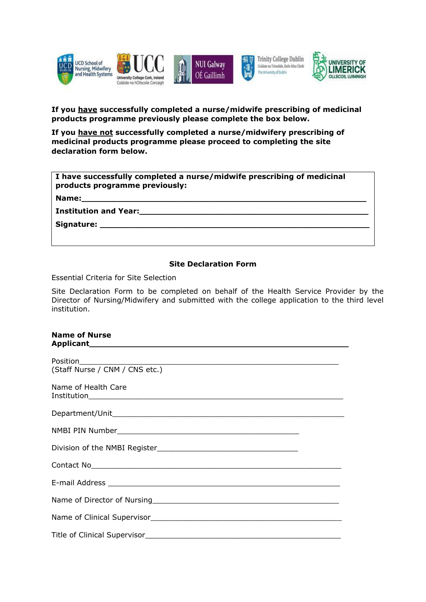

## **If you have successfully completed a nurse/midwife prescribing of medicinal products programme previously please complete the box below.**

**If you have not successfully completed a nurse/midwifery prescribing of medicinal products programme please proceed to completing the site declaration form below.**

| I have successfully completed a nurse/midwife prescribing of medicinal<br>products programme previously: |
|----------------------------------------------------------------------------------------------------------|
| Name:                                                                                                    |
| <b>Institution and Year:</b>                                                                             |
| Signature: Signature:                                                                                    |
|                                                                                                          |

## **Site Declaration Form**

Essential Criteria for Site Selection

Site Declaration Form to be completed on behalf of the Health Service Provider by the Director of Nursing/Midwifery and submitted with the college application to the third level institution.

| <b>Name of Nurse</b>                                                                                 |
|------------------------------------------------------------------------------------------------------|
| <u> 1989 - Andrea Stadt Britain, amerikansk politik (* 1958)</u><br>(Staff Nurse / CNM / CNS etc.)   |
| Name of Health Care                                                                                  |
|                                                                                                      |
|                                                                                                      |
|                                                                                                      |
| Contact No <b>Contact No Contact No.</b>                                                             |
|                                                                                                      |
| Name of Director of Nursing Manual Communication of Director Communication of Director Communication |
|                                                                                                      |
|                                                                                                      |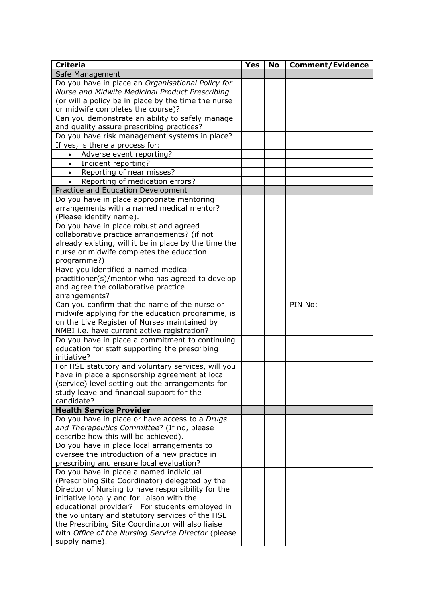| <b>Criteria</b>                                                                                   | <b>Yes</b> | <b>No</b> | <b>Comment/Evidence</b> |
|---------------------------------------------------------------------------------------------------|------------|-----------|-------------------------|
| Safe Management                                                                                   |            |           |                         |
| Do you have in place an Organisational Policy for                                                 |            |           |                         |
| Nurse and Midwife Medicinal Product Prescribing                                                   |            |           |                         |
| (or will a policy be in place by the time the nurse                                               |            |           |                         |
| or midwife completes the course)?                                                                 |            |           |                         |
| Can you demonstrate an ability to safely manage                                                   |            |           |                         |
| and quality assure prescribing practices?                                                         |            |           |                         |
| Do you have risk management systems in place?                                                     |            |           |                         |
| If yes, is there a process for:                                                                   |            |           |                         |
| Adverse event reporting?                                                                          |            |           |                         |
| Incident reporting?<br>$\bullet$                                                                  |            |           |                         |
| Reporting of near misses?<br>$\bullet$                                                            |            |           |                         |
| Reporting of medication errors?<br>$\bullet$                                                      |            |           |                         |
| Practice and Education Development                                                                |            |           |                         |
| Do you have in place appropriate mentoring                                                        |            |           |                         |
| arrangements with a named medical mentor?                                                         |            |           |                         |
| (Please identify name).                                                                           |            |           |                         |
| Do you have in place robust and agreed                                                            |            |           |                         |
| collaborative practice arrangements? (if not                                                      |            |           |                         |
| already existing, will it be in place by the time the                                             |            |           |                         |
| nurse or midwife completes the education                                                          |            |           |                         |
| programme?)<br>Have you identified a named medical                                                |            |           |                         |
| practitioner(s)/mentor who has agreed to develop                                                  |            |           |                         |
| and agree the collaborative practice                                                              |            |           |                         |
| arrangements?                                                                                     |            |           |                         |
| Can you confirm that the name of the nurse or                                                     |            |           | PIN No:                 |
| midwife applying for the education programme, is                                                  |            |           |                         |
| on the Live Register of Nurses maintained by                                                      |            |           |                         |
| NMBI i.e. have current active registration?                                                       |            |           |                         |
| Do you have in place a commitment to continuing                                                   |            |           |                         |
| education for staff supporting the prescribing                                                    |            |           |                         |
| initiative?                                                                                       |            |           |                         |
| For HSE statutory and voluntary services, will you                                                |            |           |                         |
| have in place a sponsorship agreement at local                                                    |            |           |                         |
| (service) level setting out the arrangements for                                                  |            |           |                         |
| study leave and financial support for the                                                         |            |           |                         |
| candidate?                                                                                        |            |           |                         |
| <b>Health Service Provider</b>                                                                    |            |           |                         |
| Do you have in place or have access to a Drugs                                                    |            |           |                         |
| and Therapeutics Committee? (If no, please                                                        |            |           |                         |
| describe how this will be achieved).                                                              |            |           |                         |
| Do you have in place local arrangements to                                                        |            |           |                         |
| oversee the introduction of a new practice in                                                     |            |           |                         |
| prescribing and ensure local evaluation?                                                          |            |           |                         |
| Do you have in place a named individual                                                           |            |           |                         |
| (Prescribing Site Coordinator) delegated by the                                                   |            |           |                         |
| Director of Nursing to have responsibility for the<br>initiative locally and for liaison with the |            |           |                         |
| educational provider? For students employed in                                                    |            |           |                         |
| the voluntary and statutory services of the HSE                                                   |            |           |                         |
| the Prescribing Site Coordinator will also liaise                                                 |            |           |                         |
| with Office of the Nursing Service Director (please                                               |            |           |                         |
| supply name).                                                                                     |            |           |                         |
|                                                                                                   |            |           |                         |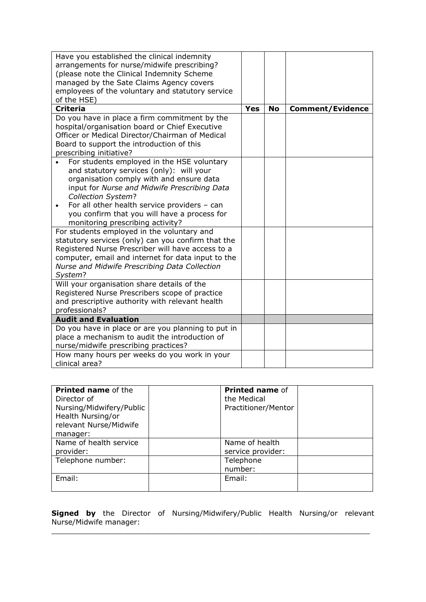| Have you established the clinical indemnity<br>arrangements for nurse/midwife prescribing?<br>(please note the Clinical Indemnity Scheme<br>managed by the Sate Claims Agency covers<br>employees of the voluntary and statutory service                                                                                                                 |            |           |                         |
|----------------------------------------------------------------------------------------------------------------------------------------------------------------------------------------------------------------------------------------------------------------------------------------------------------------------------------------------------------|------------|-----------|-------------------------|
| of the HSE)<br><b>Criteria</b>                                                                                                                                                                                                                                                                                                                           | <b>Yes</b> | <b>No</b> | <b>Comment/Evidence</b> |
| Do you have in place a firm commitment by the<br>hospital/organisation board or Chief Executive<br>Officer or Medical Director/Chairman of Medical<br>Board to support the introduction of this<br>prescribing initiative?                                                                                                                               |            |           |                         |
| For students employed in the HSE voluntary<br>and statutory services (only): will your<br>organisation comply with and ensure data<br>input for Nurse and Midwife Prescribing Data<br><b>Collection System?</b><br>For all other health service providers - can<br>٠<br>you confirm that you will have a process for<br>monitoring prescribing activity? |            |           |                         |
| For students employed in the voluntary and<br>statutory services (only) can you confirm that the<br>Registered Nurse Prescriber will have access to a<br>computer, email and internet for data input to the<br>Nurse and Midwife Prescribing Data Collection<br>System?                                                                                  |            |           |                         |
| Will your organisation share details of the<br>Registered Nurse Prescribers scope of practice<br>and prescriptive authority with relevant health<br>professionals?                                                                                                                                                                                       |            |           |                         |
| <b>Audit and Evaluation</b>                                                                                                                                                                                                                                                                                                                              |            |           |                         |
| Do you have in place or are you planning to put in<br>place a mechanism to audit the introduction of<br>nurse/midwife prescribing practices?                                                                                                                                                                                                             |            |           |                         |
| How many hours per weeks do you work in your<br>clinical area?                                                                                                                                                                                                                                                                                           |            |           |                         |

| <b>Printed name of the</b><br>Director of<br>Nursing/Midwifery/Public<br>Health Nursing/or<br>relevant Nurse/Midwife<br>manager: | the Medical          | Printed name of<br>Practitioner/Mentor |
|----------------------------------------------------------------------------------------------------------------------------------|----------------------|----------------------------------------|
| Name of health service<br>provider:                                                                                              | Name of health       | service provider:                      |
| Telephone number:                                                                                                                | Telephone<br>number: |                                        |
| Email:                                                                                                                           | Email:               |                                        |

**Signed by** the Director of Nursing/Midwifery/Public Health Nursing/or relevant Nurse/Midwife manager:

 $\_$  , and the contribution of the contribution of  $\mathcal{L}_1$  , and the contribution of  $\mathcal{L}_2$  , and  $\mathcal{L}_3$